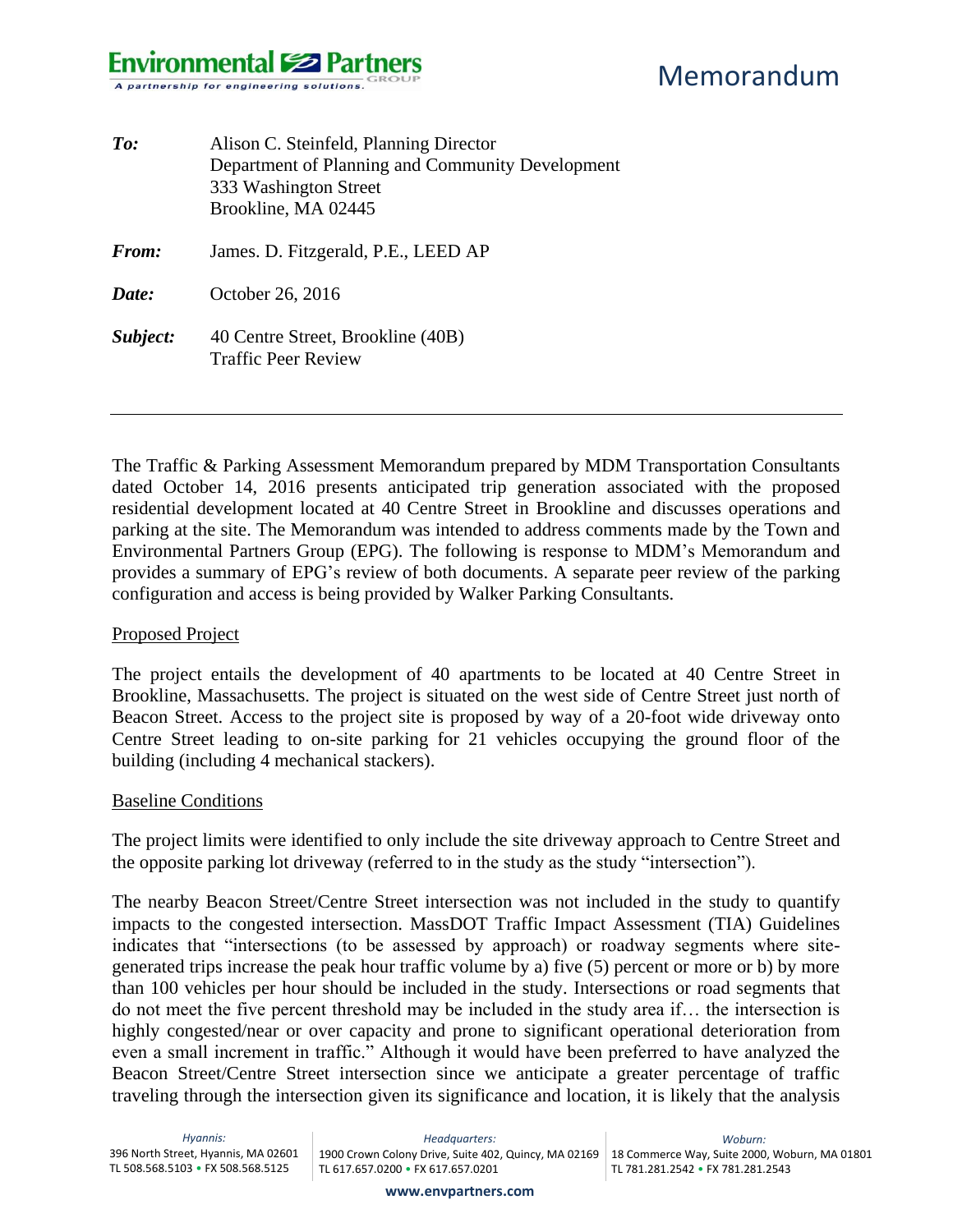## **Environmental Solution Partners** A partnership for engineering solutions.

Memorandum

| To:      | Alison C. Steinfeld, Planning Director<br>Department of Planning and Community Development<br>333 Washington Street<br>Brookline, MA 02445 |
|----------|--------------------------------------------------------------------------------------------------------------------------------------------|
| From:    | James. D. Fitzgerald, P.E., LEED AP                                                                                                        |
| Date:    | October 26, 2016                                                                                                                           |
| Subject: | 40 Centre Street, Brookline (40B)<br><b>Traffic Peer Review</b>                                                                            |

The Traffic & Parking Assessment Memorandum prepared by MDM Transportation Consultants dated October 14, 2016 presents anticipated trip generation associated with the proposed residential development located at 40 Centre Street in Brookline and discusses operations and parking at the site. The Memorandum was intended to address comments made by the Town and Environmental Partners Group (EPG). The following is response to MDM's Memorandum and provides a summary of EPG's review of both documents. A separate peer review of the parking configuration and access is being provided by Walker Parking Consultants.

#### Proposed Project

The project entails the development of 40 apartments to be located at 40 Centre Street in Brookline, Massachusetts. The project is situated on the west side of Centre Street just north of Beacon Street. Access to the project site is proposed by way of a 20-foot wide driveway onto Centre Street leading to on-site parking for 21 vehicles occupying the ground floor of the building (including 4 mechanical stackers).

#### Baseline Conditions

The project limits were identified to only include the site driveway approach to Centre Street and the opposite parking lot driveway (referred to in the study as the study "intersection").

The nearby Beacon Street/Centre Street intersection was not included in the study to quantify impacts to the congested intersection. MassDOT Traffic Impact Assessment (TIA) Guidelines indicates that "intersections (to be assessed by approach) or roadway segments where sitegenerated trips increase the peak hour traffic volume by a) five (5) percent or more or b) by more than 100 vehicles per hour should be included in the study. Intersections or road segments that do not meet the five percent threshold may be included in the study area if… the intersection is highly congested/near or over capacity and prone to significant operational deterioration from even a small increment in traffic." Although it would have been preferred to have analyzed the Beacon Street/Centre Street intersection since we anticipate a greater percentage of traffic traveling through the intersection given its significance and location, it is likely that the analysis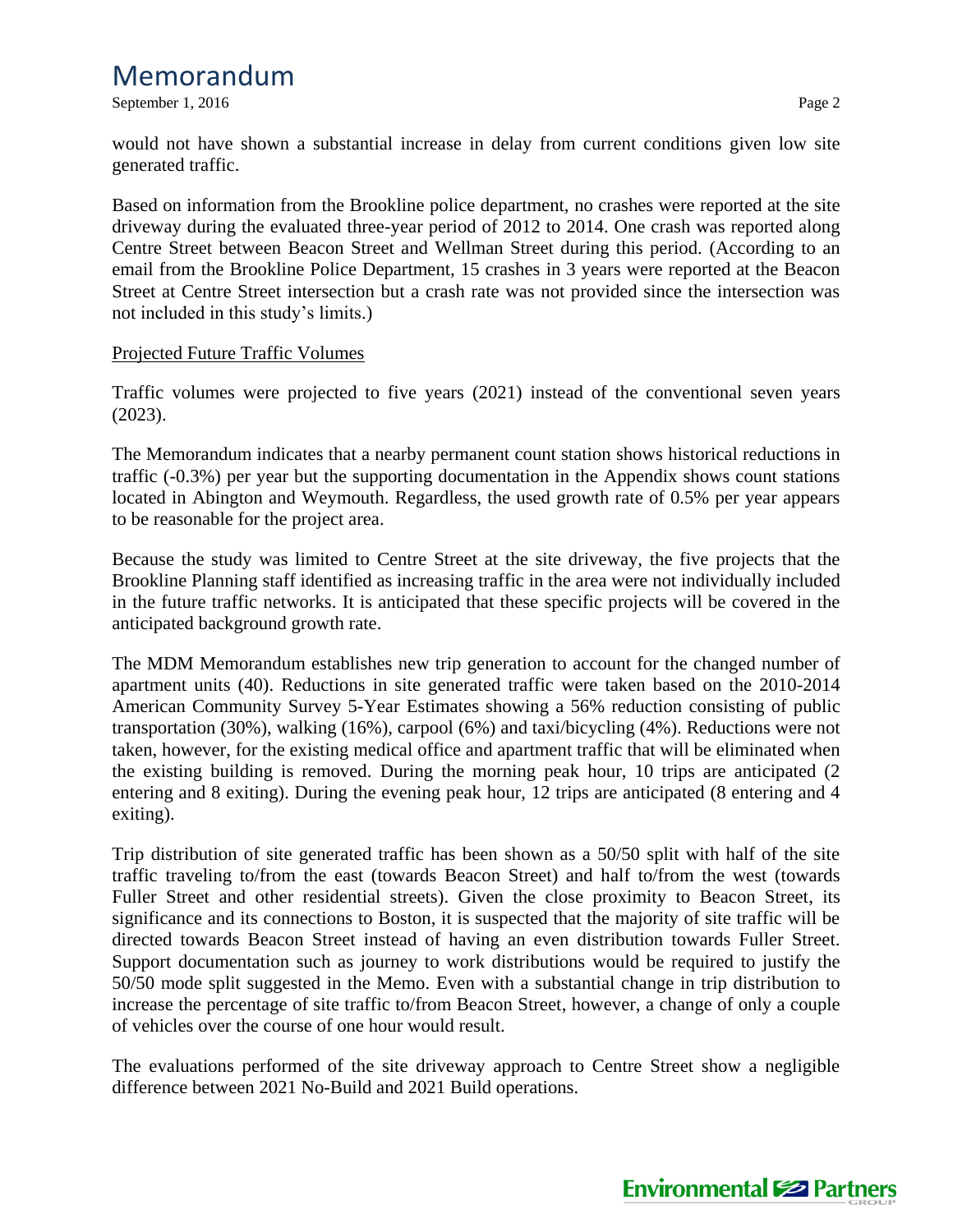# Memorandum

September 1, 2016 Page 2

would not have shown a substantial increase in delay from current conditions given low site generated traffic.

Based on information from the Brookline police department, no crashes were reported at the site driveway during the evaluated three-year period of 2012 to 2014. One crash was reported along Centre Street between Beacon Street and Wellman Street during this period. (According to an email from the Brookline Police Department, 15 crashes in 3 years were reported at the Beacon Street at Centre Street intersection but a crash rate was not provided since the intersection was not included in this study's limits.)

### Projected Future Traffic Volumes

Traffic volumes were projected to five years (2021) instead of the conventional seven years (2023).

The Memorandum indicates that a nearby permanent count station shows historical reductions in traffic (-0.3%) per year but the supporting documentation in the Appendix shows count stations located in Abington and Weymouth. Regardless, the used growth rate of 0.5% per year appears to be reasonable for the project area.

Because the study was limited to Centre Street at the site driveway, the five projects that the Brookline Planning staff identified as increasing traffic in the area were not individually included in the future traffic networks. It is anticipated that these specific projects will be covered in the anticipated background growth rate.

The MDM Memorandum establishes new trip generation to account for the changed number of apartment units (40). Reductions in site generated traffic were taken based on the 2010-2014 American Community Survey 5-Year Estimates showing a 56% reduction consisting of public transportation (30%), walking (16%), carpool (6%) and taxi/bicycling (4%). Reductions were not taken, however, for the existing medical office and apartment traffic that will be eliminated when the existing building is removed. During the morning peak hour, 10 trips are anticipated (2 entering and 8 exiting). During the evening peak hour, 12 trips are anticipated (8 entering and 4 exiting).

Trip distribution of site generated traffic has been shown as a 50/50 split with half of the site traffic traveling to/from the east (towards Beacon Street) and half to/from the west (towards Fuller Street and other residential streets). Given the close proximity to Beacon Street, its significance and its connections to Boston, it is suspected that the majority of site traffic will be directed towards Beacon Street instead of having an even distribution towards Fuller Street. Support documentation such as journey to work distributions would be required to justify the 50/50 mode split suggested in the Memo. Even with a substantial change in trip distribution to increase the percentage of site traffic to/from Beacon Street, however, a change of only a couple of vehicles over the course of one hour would result.

The evaluations performed of the site driveway approach to Centre Street show a negligible difference between 2021 No-Build and 2021 Build operations.